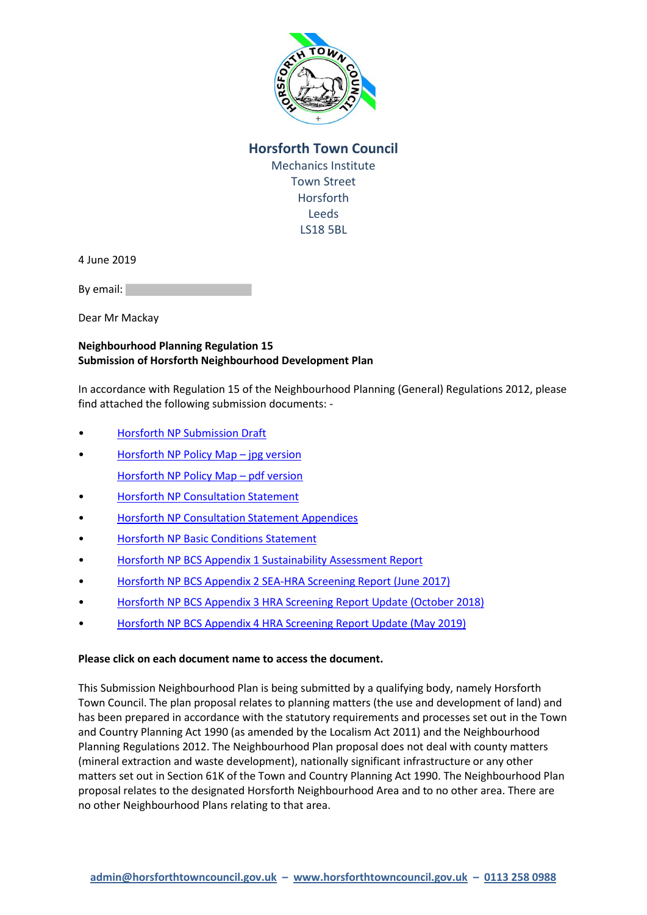

## **Horsforth Town Council** Mechanics Institute Town Street Horsforth Leeds LS18 5BL

4 June 2019

By email:

Dear Mr Mackay

## **Neighbourhood Planning Regulation 15 Submission of Horsforth Neighbourhood Development Plan**

In accordance with Regulation 15 of the Neighbourhood Planning (General) Regulations 2012, please find attached the following submission documents: -

- [Horsforth NP Submission Draft](https://horsforthtown-my.sharepoint.com/:b:/g/personal/julie_horsforthtown_onmicrosoft_com/EaSKNTruJ0xPobvFCYI3ilcBxprPB5vkL1QkIlnWhMQ-Hg?e=djwRfJ)
- [Horsforth NP Policy Map](https://horsforthtown-my.sharepoint.com/:i:/g/personal/julie_horsforthtown_onmicrosoft_com/EaLfEJS_uHpCgZqtdV1zQsoB2BTw-dX-cqpG_ypyImYxcA?e=yODhxU)  jpg version [Horsforth NP Policy Map](https://horsforthtown-my.sharepoint.com/:b:/g/personal/julie_horsforthtown_onmicrosoft_com/EaUizz3zSiNAk7sSphh6dj8BwvYYaUhI0GYAjlvYme1DTA?e=0m6tRg) – pdf version
- [Horsforth NP Consultation Statement](https://horsforthtown-my.sharepoint.com/:b:/g/personal/julie_horsforthtown_onmicrosoft_com/Ed3fPoyYSe5DhtmYyLyZbrMBgEAw87Nws1eEFYo1NO8aJw?e=Seoltz)
- [Horsforth NP Consultation Statement Appendices](https://horsforthtown-my.sharepoint.com/:b:/g/personal/julie_horsforthtown_onmicrosoft_com/Ec6i_odPhwhPsa4rwmxs3lEB8zrgvirXLWgifRXMsobuTA?e=LQV9G1)
- **[Horsforth NP Basic Conditions Statement](https://horsforthtown-my.sharepoint.com/:b:/g/personal/julie_horsforthtown_onmicrosoft_com/EaSKNTruJ0xPobvFCYI3ilcBxprPB5vkL1QkIlnWhMQ-Hg?e=zEEb6e)**
- [Horsforth NP BCS Appendix 1 Sustainability Assessment Report](https://horsforthtown-my.sharepoint.com/:b:/g/personal/julie_horsforthtown_onmicrosoft_com/EeSpdKxjuURLol9J_6CKmLcB11r3N8mAsVzQ2YaKZQYAZw?e=9Hm0Qq)
- [Horsforth NP BCS Appendix 2 SEA-HRA Screening Report \(June 2017\)](https://horsforthtown-my.sharepoint.com/:b:/g/personal/julie_horsforthtown_onmicrosoft_com/EfhX3gVt4lVHmawgsUD0TFoBzm5cgOBgi2-C46mGk7YjrQ?e=1wWJWo)
- [Horsforth NP BCS Appendix 3 HRA Screening Report Update \(October 2018\)](https://horsforthtown-my.sharepoint.com/:b:/g/personal/julie_horsforthtown_onmicrosoft_com/EbRyG1cLRcZFkeByHlEuyy4Bxq9dELTey2CAcfETcDPdCg?e=1fijSb)
- [Horsforth NP BCS Appendix 4 HRA Screening Report Update \(May 2019\)](https://horsforthtown-my.sharepoint.com/:b:/g/personal/julie_horsforthtown_onmicrosoft_com/EWu3Cq4gdbxGg-lykvj-zVIBgJ0X0zS7k20tq_ejAP3wZQ?e=EBEO1a)

## **Please click on each document name to access the document.**

This Submission Neighbourhood Plan is being submitted by a qualifying body, namely Horsforth Town Council. The plan proposal relates to planning matters (the use and development of land) and has been prepared in accordance with the statutory requirements and processes set out in the Town and Country Planning Act 1990 (as amended by the Localism Act 2011) and the Neighbourhood Planning Regulations 2012. The Neighbourhood Plan proposal does not deal with county matters (mineral extraction and waste development), nationally significant infrastructure or any other matters set out in Section 61K of the Town and Country Planning Act 1990. The Neighbourhood Plan proposal relates to the designated Horsforth Neighbourhood Area and to no other area. There are no other Neighbourhood Plans relating to that area.